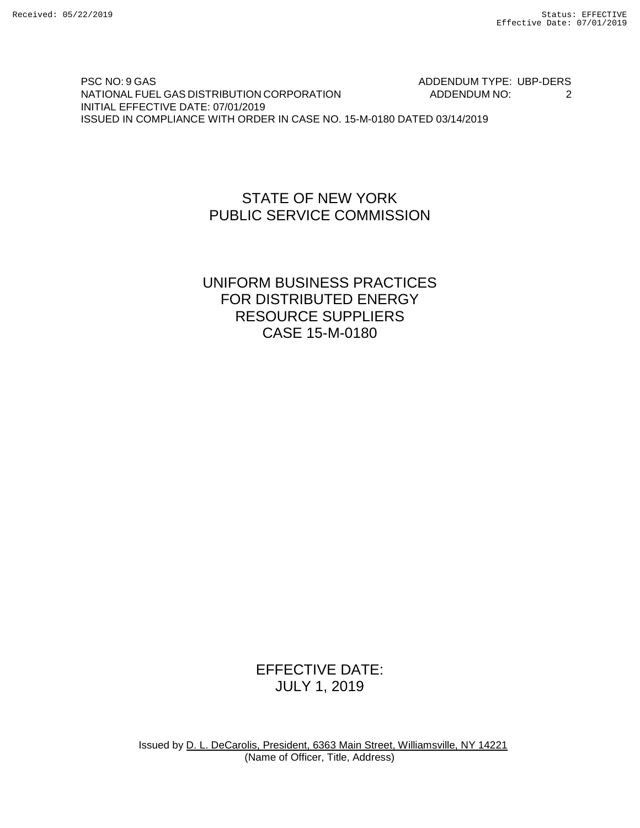PSC NO: 9 GAS ADDENDUM TYPE: UBP-DERS NATIONAL FUEL GAS DISTRIBUTION CORPORATION ADDENDUM NO: 2 INITIAL EFFECTIVE DATE: 07/01/2019 ISSUED IN COMPLIANCE WITH ORDER IN CASE NO. 15-M-0180 DATED 03/14/2019

### STATE OF NEW YORK PUBLIC SERVICE COMMISSION

## UNIFORM BUSINESS PRACTICES FOR DISTRIBUTED ENERGY RESOURCE SUPPLIERS CASE 15-M-0180

# EFFECTIVE DATE: JULY 1, 2019

Issued by D. L. DeCarolis, President, 6363 Main Street, Williamsville, NY 14221 (Name of Officer, Title, Address)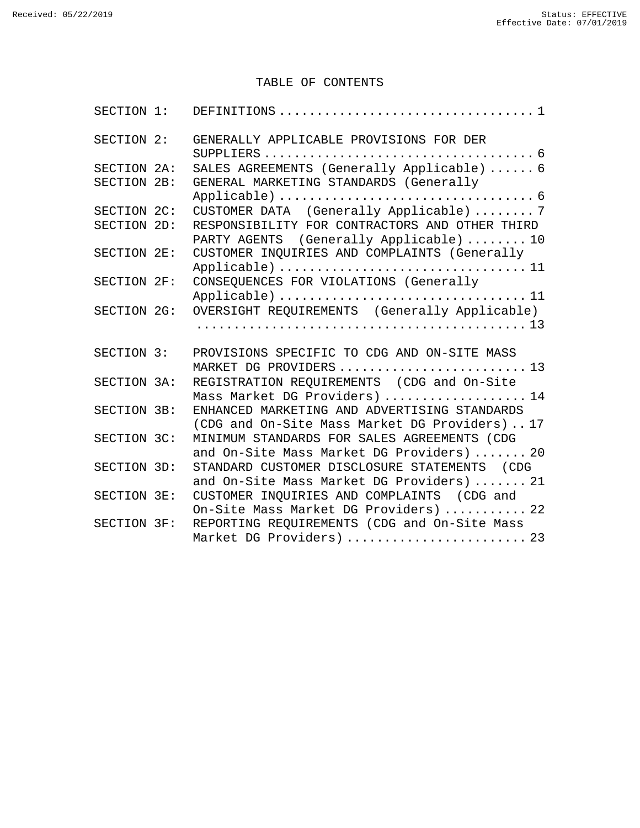#### TABLE OF CONTENTS

| SECTION 1:  |                                                                                                |
|-------------|------------------------------------------------------------------------------------------------|
| SECTION 2:  | GENERALLY APPLICABLE PROVISIONS FOR DER                                                        |
| SECTION 2A: | SALES AGREEMENTS (Generally Applicable)  6                                                     |
| SECTION 2B: | GENERAL MARKETING STANDARDS (Generally                                                         |
| SECTION 2C: | CUSTOMER DATA (Generally Applicable)  7                                                        |
| SECTION 2D: | RESPONSIBILITY FOR CONTRACTORS AND OTHER THIRD<br>PARTY AGENTS (Generally Applicable)  10      |
| SECTION 2E: | CUSTOMER INQUIRIES AND COMPLAINTS (Generally<br>Applicable)  11                                |
| SECTION 2F: | CONSEQUENCES FOR VIOLATIONS (Generally<br>Applicable)  11                                      |
| SECTION 2G: | OVERSIGHT REQUIREMENTS (Generally Applicable)                                                  |
|             |                                                                                                |
| SECTION 3:  | PROVISIONS SPECIFIC TO CDG AND ON-SITE MASS<br>MARKET DG PROVIDERS  13                         |
| SECTION 3A: | REGISTRATION REQUIREMENTS (CDG and On-Site<br>Mass Market DG Providers)  14                    |
| SECTION 3B: | ENHANCED MARKETING AND ADVERTISING STANDARDS<br>(CDG and On-Site Mass Market DG Providers)  17 |
| SECTION 3C: | MINIMUM STANDARDS FOR SALES AGREEMENTS (CDG<br>and On-Site Mass Market DG Providers)  20       |
| SECTION 3D: | STANDARD CUSTOMER DISCLOSURE STATEMENTS (CDG<br>and On-Site Mass Market DG Providers)  21      |
| SECTION 3E: | CUSTOMER INQUIRIES AND COMPLAINTS (CDG and<br>On-Site Mass Market DG Providers)  22            |
| SECTION 3F: | REPORTING REQUIREMENTS (CDG and On-Site Mass<br>Market DG Providers)  23                       |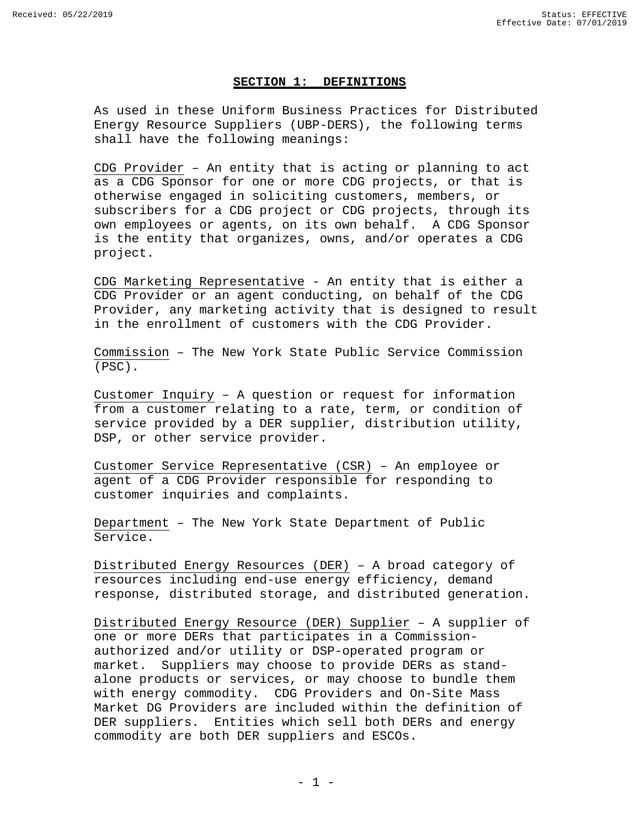#### **SECTION 1: DEFINITIONS**

<span id="page-2-0"></span>As used in these Uniform Business Practices for Distributed Energy Resource Suppliers (UBP-DERS), the following terms shall have the following meanings:

CDG Provider – An entity that is acting or planning to act as a CDG Sponsor for one or more CDG projects, or that is otherwise engaged in soliciting customers, members, or subscribers for a CDG project or CDG projects, through its own employees or agents, on its own behalf. A CDG Sponsor is the entity that organizes, owns, and/or operates a CDG project.

CDG Marketing Representative - An entity that is either a CDG Provider or an agent conducting, on behalf of the CDG Provider, any marketing activity that is designed to result in the enrollment of customers with the CDG Provider.

Commission – The New York State Public Service Commission (PSC).

Customer Inquiry – A question or request for information from a customer relating to a rate, term, or condition of service provided by a DER supplier, distribution utility, DSP, or other service provider.

Customer Service Representative (CSR) – An employee or agent of a CDG Provider responsible for responding to customer inquiries and complaints.

Department – The New York State Department of Public Service.

Distributed Energy Resources (DER) – A broad category of resources including end-use energy efficiency, demand response, distributed storage, and distributed generation.

Distributed Energy Resource (DER) Supplier – A supplier of one or more DERs that participates in a Commissionauthorized and/or utility or DSP-operated program or market. Suppliers may choose to provide DERs as standalone products or services, or may choose to bundle them with energy commodity. CDG Providers and On-Site Mass Market DG Providers are included within the definition of DER suppliers. Entities which sell both DERs and energy commodity are both DER suppliers and ESCOs.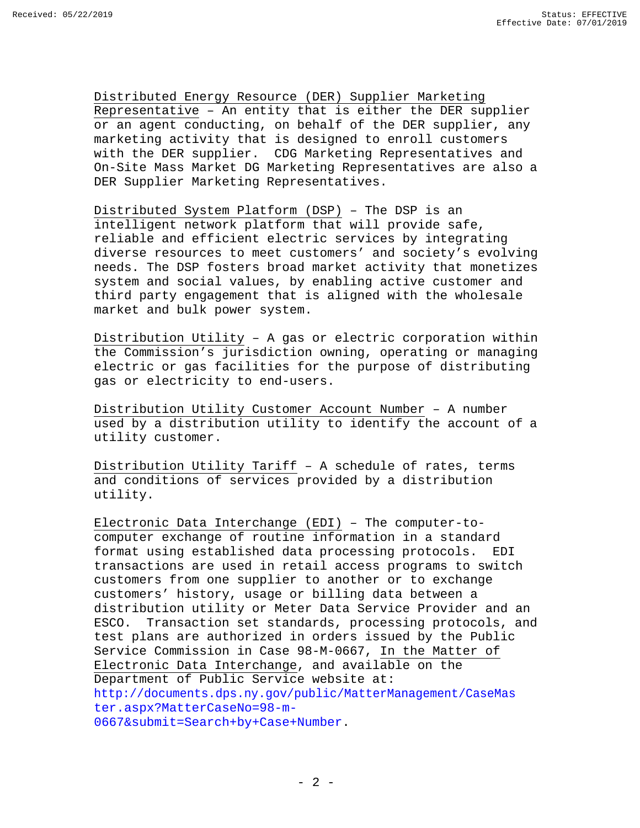Distributed Energy Resource (DER) Supplier Marketing Representative – An entity that is either the DER supplier or an agent conducting, on behalf of the DER supplier, any marketing activity that is designed to enroll customers with the DER supplier. CDG Marketing Representatives and On-Site Mass Market DG Marketing Representatives are also a DER Supplier Marketing Representatives.

Distributed System Platform (DSP) – The DSP is an intelligent network platform that will provide safe, reliable and efficient electric services by integrating diverse resources to meet customers' and society's evolving needs. The DSP fosters broad market activity that monetizes system and social values, by enabling active customer and third party engagement that is aligned with the wholesale market and bulk power system.

Distribution Utility – A gas or electric corporation within the Commission's jurisdiction owning, operating or managing electric or gas facilities for the purpose of distributing gas or electricity to end-users.

Distribution Utility Customer Account Number – A number used by a distribution utility to identify the account of a utility customer.

Distribution Utility Tariff – A schedule of rates, terms and conditions of services provided by a distribution utility.

Electronic Data Interchange (EDI) – The computer-tocomputer exchange of routine information in a standard format using established data processing protocols. transactions are used in retail access programs to switch customers from one supplier to another or to exchange customers' history, usage or billing data between a distribution utility or Meter Data Service Provider and an ESCO. Transaction set standards, processing protocols, and test plans are authorized in orders issued by the Public Service Commission in Case 98-M-0667, In the Matter of Electronic Data Interchange, and available on the Department of Public Service website at: [http://documents.dps.ny.gov/public/MatterManagement/CaseMas](http://documents.dps.ny.gov/public/MatterManagement/CaseMaster.aspx?MatterCaseNo=98-m-0667&submit=Search%2Bby%2BCase%2BNumber) [ter.aspx?MatterCaseNo=98-m-](http://documents.dps.ny.gov/public/MatterManagement/CaseMaster.aspx?MatterCaseNo=98-m-0667&submit=Search%2Bby%2BCase%2BNumber)[0667&submit=Search+by+Case+Number.](http://documents.dps.ny.gov/public/MatterManagement/CaseMaster.aspx?MatterCaseNo=98-m-0667&submit=Search%2Bby%2BCase%2BNumber)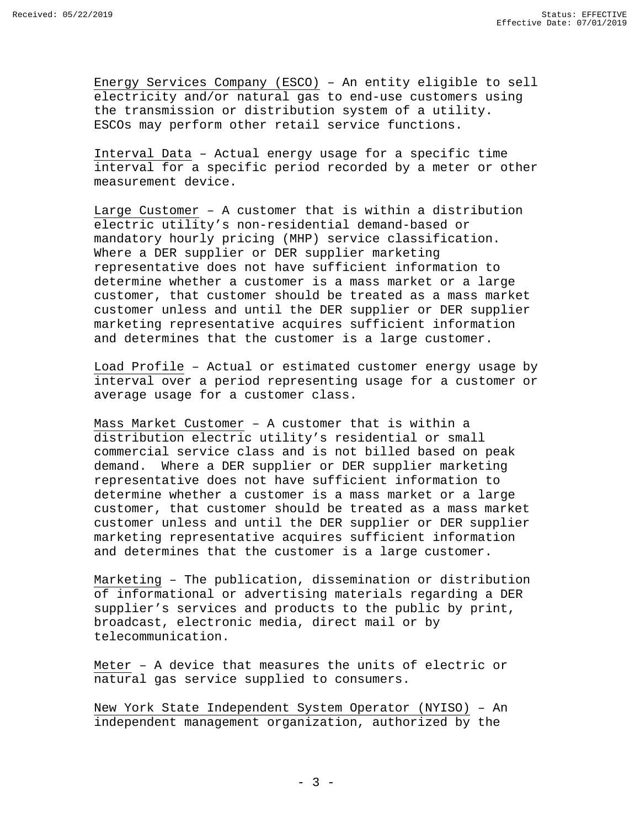Energy Services Company (ESCO) – An entity eligible to sell electricity and/or natural gas to end-use customers using the transmission or distribution system of a utility. ESCOs may perform other retail service functions.

Interval Data – Actual energy usage for a specific time interval for a specific period recorded by a meter or other measurement device.

Large Customer – A customer that is within a distribution electric utility's non-residential demand-based or mandatory hourly pricing (MHP) service classification. Where a DER supplier or DER supplier marketing representative does not have sufficient information to determine whether a customer is a mass market or a large customer, that customer should be treated as a mass market customer unless and until the DER supplier or DER supplier marketing representative acquires sufficient information and determines that the customer is a large customer.

Load Profile – Actual or estimated customer energy usage by interval over a period representing usage for a customer or average usage for a customer class.

Mass Market Customer – A customer that is within a distribution electric utility's residential or small commercial service class and is not billed based on peak demand. Where a DER supplier or DER supplier marketing representative does not have sufficient information to determine whether a customer is a mass market or a large customer, that customer should be treated as a mass market customer unless and until the DER supplier or DER supplier marketing representative acquires sufficient information and determines that the customer is a large customer.

Marketing – The publication, dissemination or distribution of informational or advertising materials regarding a DER supplier's services and products to the public by print, broadcast, electronic media, direct mail or by telecommunication.

Meter – A device that measures the units of electric or natural gas service supplied to consumers.

New York State Independent System Operator (NYISO) – An independent management organization, authorized by the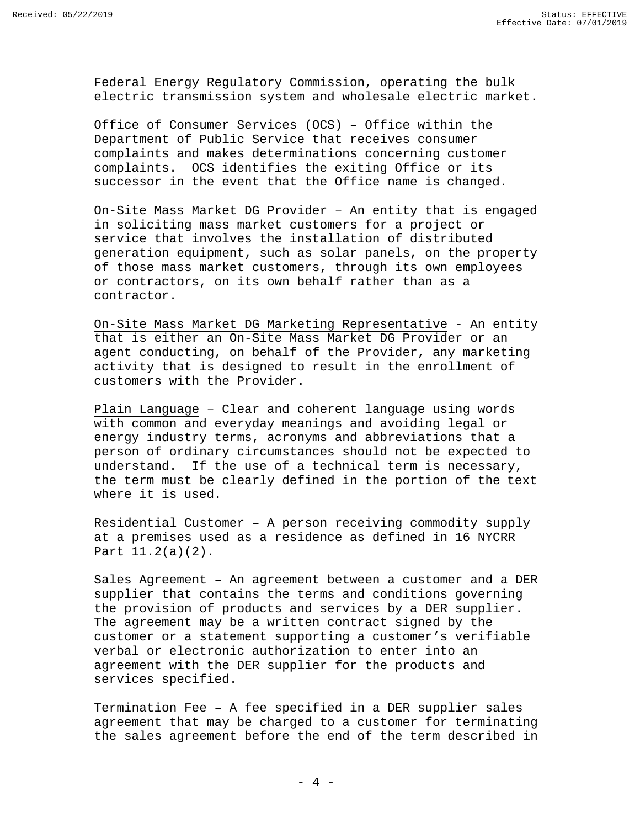Federal Energy Regulatory Commission, operating the bulk electric transmission system and wholesale electric market.

Office of Consumer Services (OCS) – Office within the Department of Public Service that receives consumer complaints and makes determinations concerning customer complaints. OCS identifies the exiting Office or its successor in the event that the Office name is changed.

On-Site Mass Market DG Provider – An entity that is engaged in soliciting mass market customers for a project or service that involves the installation of distributed generation equipment, such as solar panels, on the property of those mass market customers, through its own employees or contractors, on its own behalf rather than as a contractor.

On-Site Mass Market DG Marketing Representative - An entity that is either an On-Site Mass Market DG Provider or an agent conducting, on behalf of the Provider, any marketing activity that is designed to result in the enrollment of customers with the Provider.

Plain Language – Clear and coherent language using words with common and everyday meanings and avoiding legal or energy industry terms, acronyms and abbreviations that a person of ordinary circumstances should not be expected to understand. If the use of a technical term is necessary, the term must be clearly defined in the portion of the text where it is used.

Residential Customer – A person receiving commodity supply at a premises used as a residence as defined in 16 NYCRR Part 11.2(a)(2).

Sales Agreement – An agreement between a customer and a DER supplier that contains the terms and conditions governing the provision of products and services by a DER supplier. The agreement may be a written contract signed by the customer or a statement supporting a customer's verifiable verbal or electronic authorization to enter into an agreement with the DER supplier for the products and services specified.

Termination Fee – A fee specified in a DER supplier sales agreement that may be charged to a customer for terminating the sales agreement before the end of the term described in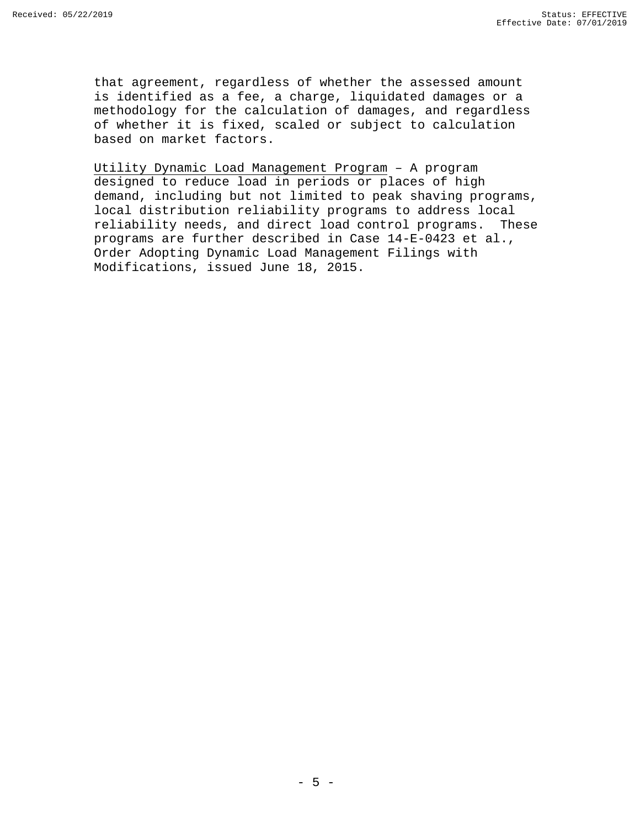that agreement, regardless of whether the assessed amount is identified as a fee, a charge, liquidated damages or a methodology for the calculation of damages, and regardless of whether it is fixed, scaled or subject to calculation based on market factors.

Utility Dynamic Load Management Program – A program designed to reduce load in periods or places of high demand, including but not limited to peak shaving programs, local distribution reliability programs to address local reliability needs, and direct load control programs. These programs are further described in Case 14-E-0423 et al., Order Adopting Dynamic Load Management Filings with Modifications, issued June 18, 2015.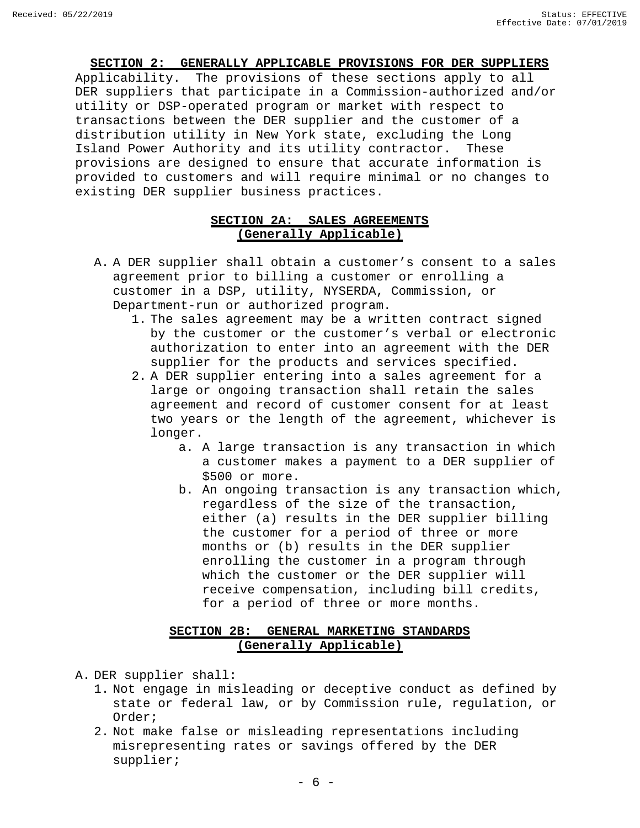#### **SECTION 2: GENERALLY APPLICABLE PROVISIONS FOR DER SUPPLIERS**

<span id="page-7-0"></span>Applicability. The provisions of these sections apply to all DER suppliers that participate in a Commission-authorized and/or utility or DSP-operated program or market with respect to transactions between the DER supplier and the customer of a distribution utility in New York state, excluding the Long<br>Island Power Authority and its utility contractor. These Island Power Authority and its utility contractor. provisions are designed to ensure that accurate information is provided to customers and will require minimal or no changes to existing DER supplier business practices.

#### **SECTION 2A: SALES AGREEMENTS (Generally Applicable)**

- <span id="page-7-1"></span>A. A DER supplier shall obtain a customer's consent to a sales agreement prior to billing a customer or enrolling a customer in a DSP, utility, NYSERDA, Commission, or Department-run or authorized program.
	- 1. The sales agreement may be a written contract signed by the customer or the customer's verbal or electronic authorization to enter into an agreement with the DER supplier for the products and services specified.
	- 2. A DER supplier entering into a sales agreement for a large or ongoing transaction shall retain the sales agreement and record of customer consent for at least two years or the length of the agreement, whichever is longer.
		- a. A large transaction is any transaction in which a customer makes a payment to a DER supplier of \$500 or more.
		- b. An ongoing transaction is any transaction which, regardless of the size of the transaction, either (a) results in the DER supplier billing the customer for a period of three or more months or (b) results in the DER supplier enrolling the customer in a program through which the customer or the DER supplier will receive compensation, including bill credits, for a period of three or more months.

#### **SECTION 2B: GENERAL MARKETING STANDARDS (Generally Applicable)**

<span id="page-7-2"></span>A. DER supplier shall:

- 1. Not engage in misleading or deceptive conduct as defined by state or federal law, or by Commission rule, regulation, or Order;
- 2. Not make false or misleading representations including misrepresenting rates or savings offered by the DER supplier;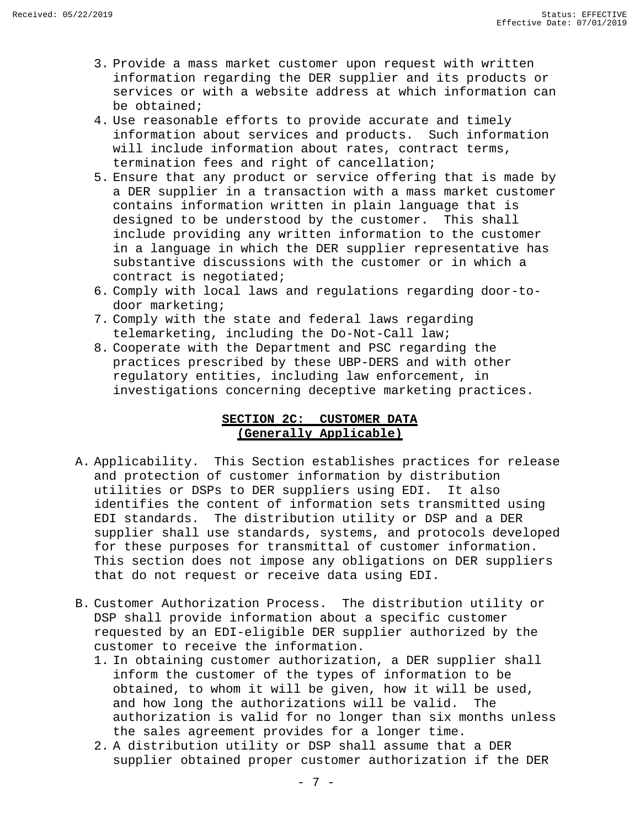- 3. Provide a mass market customer upon request with written information regarding the DER supplier and its products or services or with a website address at which information can be obtained;
- 4. Use reasonable efforts to provide accurate and timely information about services and products. Such information will include information about rates, contract terms, termination fees and right of cancellation;
- 5. Ensure that any product or service offering that is made by a DER supplier in a transaction with a mass market customer contains information written in plain language that is<br>designed to be understood by the customer. This shall designed to be understood by the customer. include providing any written information to the customer in a language in which the DER supplier representative has substantive discussions with the customer or in which a contract is negotiated;
- 6. Comply with local laws and regulations regarding door-todoor marketing;
- 7. Comply with the state and federal laws regarding telemarketing, including the Do-Not-Call law;
- 8. Cooperate with the Department and PSC regarding the practices prescribed by these UBP-DERS and with other regulatory entities, including law enforcement, in investigations concerning deceptive marketing practices.

#### **SECTION 2C: CUSTOMER DATA (Generally Applicable)**

- <span id="page-8-0"></span>A. Applicability. This Section establishes practices for release and protection of customer information by distribution utilities or DSPs to DER suppliers using EDI. It also identifies the content of information sets transmitted using EDI standards. The distribution utility or DSP and a DER supplier shall use standards, systems, and protocols developed for these purposes for transmittal of customer information. This section does not impose any obligations on DER suppliers that do not request or receive data using EDI.
- B. Customer Authorization Process. The distribution utility or DSP shall provide information about a specific customer requested by an EDI-eligible DER supplier authorized by the customer to receive the information.
	- 1. In obtaining customer authorization, a DER supplier shall inform the customer of the types of information to be obtained, to whom it will be given, how it will be used, and how long the authorizations will be valid. The authorization is valid for no longer than six months unless the sales agreement provides for a longer time.
	- 2. A distribution utility or DSP shall assume that a DER supplier obtained proper customer authorization if the DER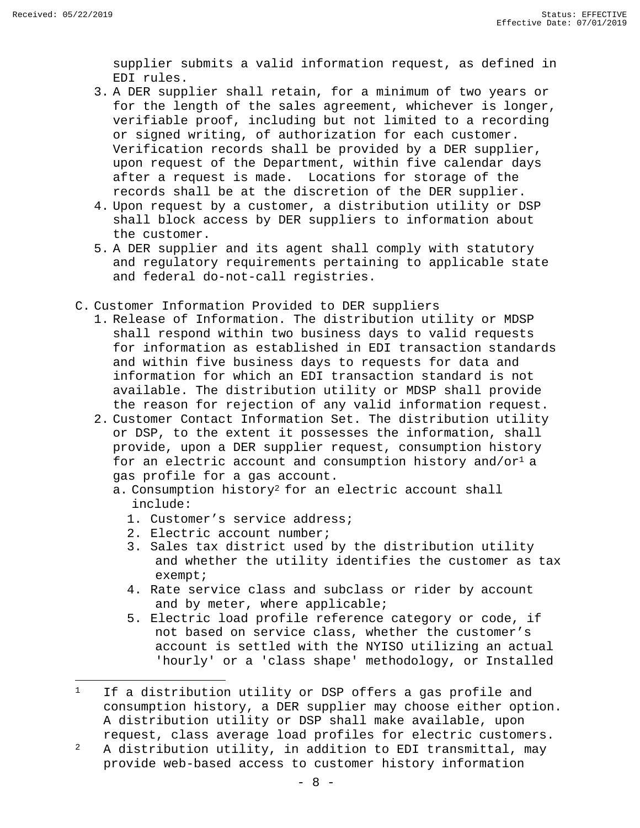supplier submits a valid information request, as defined in EDI rules.

- 3. A DER supplier shall retain, for a minimum of two years or for the length of the sales agreement, whichever is longer, verifiable proof, including but not limited to a recording or signed writing, of authorization for each customer. Verification records shall be provided by a DER supplier, upon request of the Department, within five calendar days after a request is made. Locations for storage of the records shall be at the discretion of the DER supplier.
- 4. Upon request by a customer, a distribution utility or DSP shall block access by DER suppliers to information about the customer.
- 5. A DER supplier and its agent shall comply with statutory and regulatory requirements pertaining to applicable state and federal do-not-call registries.
- C. Customer Information Provided to DER suppliers
	- 1. Release of Information. The distribution utility or MDSP shall respond within two business days to valid requests for information as established in EDI transaction standards and within five business days to requests for data and information for which an EDI transaction standard is not available. The distribution utility or MDSP shall provide the reason for rejection of any valid information request.
	- 2. Customer Contact Information Set. The distribution utility or DSP, to the extent it possesses the information, shall provide, upon a DER supplier request, consumption history for an electric account and consumption history and/or<sup>1</sup> a gas profile for a gas account.
		- a. Consumption history<sup>2</sup> for an electric account shall include:
			- 1. Customer's service address;
			- 2. Electric account number;
			- 3. Sales tax district used by the distribution utility and whether the utility identifies the customer as tax exempt;
			- 4. Rate service class and subclass or rider by account and by meter, where applicable;
			- 5. Electric load profile reference category or code, if not based on service class, whether the customer's account is settled with the NYISO utilizing an actual 'hourly' or a 'class shape' methodology, or Installed

<span id="page-9-0"></span><sup>&</sup>lt;sup>1</sup> If a distribution utility or DSP offers a gas profile and consumption history, a DER supplier may choose either option. A distribution utility or DSP shall make available, upon request, class average load profiles for electric customers.

<span id="page-9-1"></span> $2$  A distribution utility, in addition to EDI transmittal, may provide web-based access to customer history information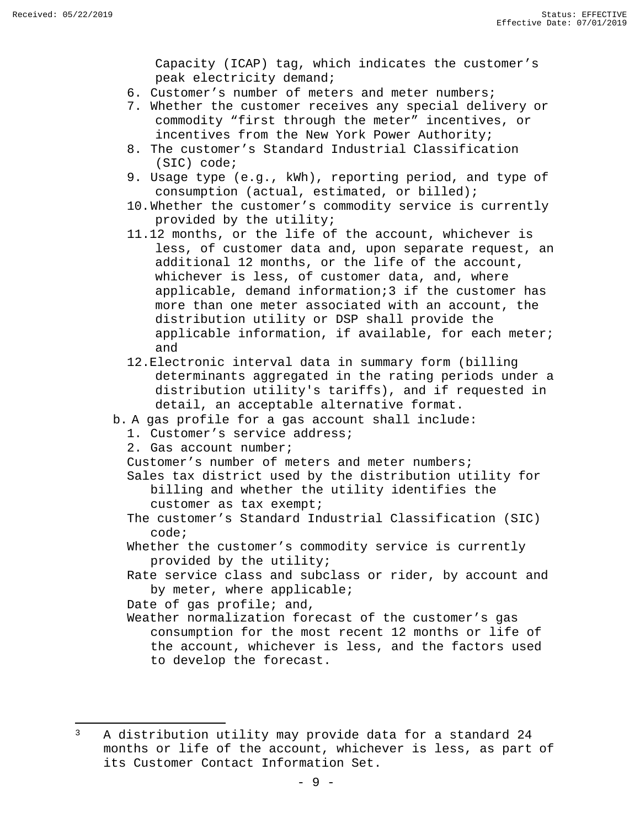Capacity (ICAP) tag, which indicates the customer's peak electricity demand;

- 6. Customer's number of meters and meter numbers;
- 7. Whether the customer receives any special delivery or commodity "first through the meter" incentives, or incentives from the New York Power Authority;
- 8. The customer's Standard Industrial Classification (SIC) code;
- 9. Usage type (e.g., kWh), reporting period, and type of consumption (actual, estimated, or billed);
- 10.Whether the customer's commodity service is currently provided by the utility;
- 11.12 months, or the life of the account, whichever is less, of customer data and, upon separate request, an additional 12 months, or the life of the account, whichever is less, of customer data, and, where applicable, demand information[;3 i](#page-10-0)f the customer has more than one meter associated with an account, the distribution utility or DSP shall provide the applicable information, if available, for each meter; and
- 12.Electronic interval data in summary form (billing determinants aggregated in the rating periods under a distribution utility's tariffs), and if requested in detail, an acceptable alternative format.
- b. A gas profile for a gas account shall include:
	- 1. Customer's service address;
	- 2. Gas account number;
	- Customer's number of meters and meter numbers;
	- Sales tax district used by the distribution utility for billing and whether the utility identifies the customer as tax exempt;
	- The customer's Standard Industrial Classification (SIC) code;
	- Whether the customer's commodity service is currently provided by the utility;
	- Rate service class and subclass or rider, by account and by meter, where applicable;

Date of gas profile; and,

Weather normalization forecast of the customer's gas consumption for the most recent 12 months or life of the account, whichever is less, and the factors used to develop the forecast.

<span id="page-10-0"></span><sup>&</sup>lt;sup>3</sup> A distribution utility may provide data for a standard 24 months or life of the account, whichever is less, as part of its Customer Contact Information Set.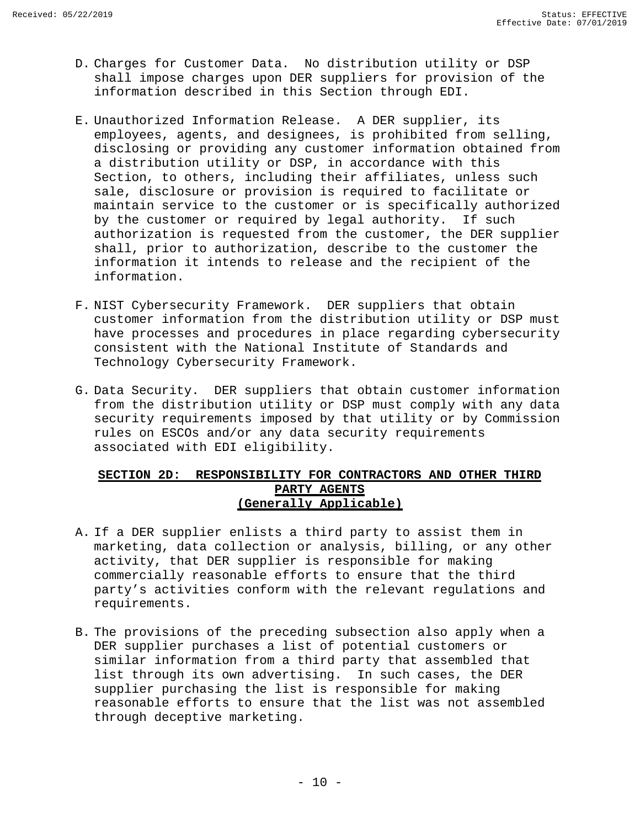- D. Charges for Customer Data. No distribution utility or DSP shall impose charges upon DER suppliers for provision of the information described in this Section through EDI.
- E. Unauthorized Information Release. A DER supplier, its employees, agents, and designees, is prohibited from selling, disclosing or providing any customer information obtained from a distribution utility or DSP, in accordance with this Section, to others, including their affiliates, unless such sale, disclosure or provision is required to facilitate or maintain service to the customer or is specifically authorized by the customer or required by legal authority. If such authorization is requested from the customer, the DER supplier shall, prior to authorization, describe to the customer the information it intends to release and the recipient of the information.
- F. NIST Cybersecurity Framework. DER suppliers that obtain customer information from the distribution utility or DSP must have processes and procedures in place regarding cybersecurity consistent with the National Institute of Standards and Technology Cybersecurity Framework.
- G. Data Security. DER suppliers that obtain customer information from the distribution utility or DSP must comply with any data security requirements imposed by that utility or by Commission rules on ESCOs and/or any data security requirements associated with EDI eligibility.

#### <span id="page-11-0"></span>**SECTION 2D: RESPONSIBILITY FOR CONTRACTORS AND OTHER THIRD PARTY AGENTS (Generally Applicable)**

- A. If a DER supplier enlists a third party to assist them in marketing, data collection or analysis, billing, or any other activity, that DER supplier is responsible for making commercially reasonable efforts to ensure that the third party's activities conform with the relevant regulations and requirements.
- B. The provisions of the preceding subsection also apply when a DER supplier purchases a list of potential customers or similar information from a third party that assembled that list through its own advertising. In such cases, the DER supplier purchasing the list is responsible for making reasonable efforts to ensure that the list was not assembled through deceptive marketing.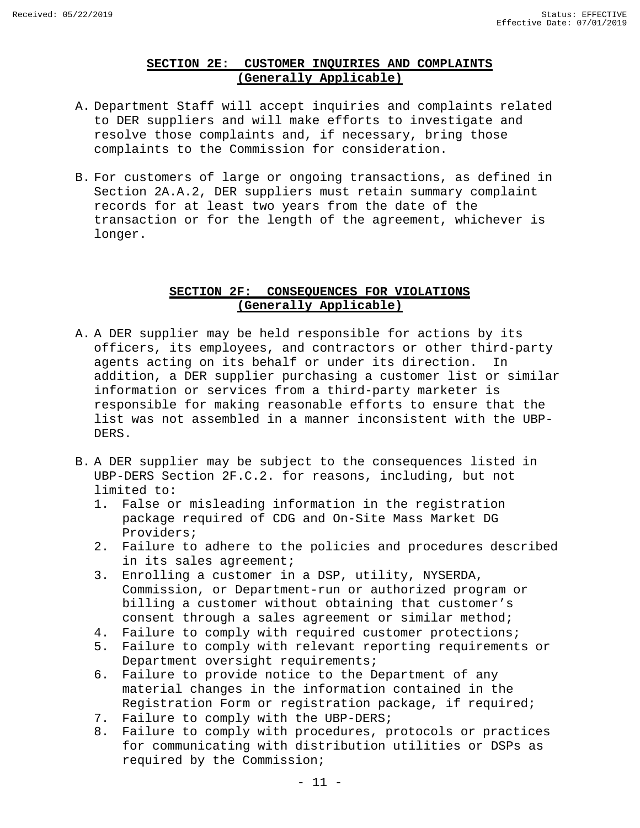#### **SECTION 2E: CUSTOMER INQUIRIES AND COMPLAINTS (Generally Applicable)**

- <span id="page-12-0"></span>A. Department Staff will accept inquiries and complaints related to DER suppliers and will make efforts to investigate and resolve those complaints and, if necessary, bring those complaints to the Commission for consideration.
- B. For customers of large or ongoing transactions, as defined in Section 2A.A.2, DER suppliers must retain summary complaint records for at least two years from the date of the transaction or for the length of the agreement, whichever is longer.

#### **SECTION 2F: CONSEQUENCES FOR VIOLATIONS (Generally Applicable)**

- <span id="page-12-1"></span>A. A DER supplier may be held responsible for actions by its officers, its employees, and contractors or other third-party<br>agents acting on its behalf or under its direction. In agents acting on its behalf or under its direction. addition, a DER supplier purchasing a customer list or similar information or services from a third-party marketer is responsible for making reasonable efforts to ensure that the list was not assembled in a manner inconsistent with the UBP-DERS.
- B. A DER supplier may be subject to the consequences listed in UBP-DERS Section 2F.C.2. for reasons, including, but not limited to:
	- 1. False or misleading information in the registration package required of CDG and On-Site Mass Market DG Providers;
	- 2. Failure to adhere to the policies and procedures described in its sales agreement;
	- 3. Enrolling a customer in a DSP, utility, NYSERDA, Commission, or Department-run or authorized program or billing a customer without obtaining that customer's consent through a sales agreement or similar method;
	- 4. Failure to comply with required customer protections;
	- 5. Failure to comply with relevant reporting requirements or Department oversight requirements;
	- 6. Failure to provide notice to the Department of any material changes in the information contained in the Registration Form or registration package, if required;
	- 7. Failure to comply with the UBP-DERS;
	- 8. Failure to comply with procedures, protocols or practices for communicating with distribution utilities or DSPs as required by the Commission;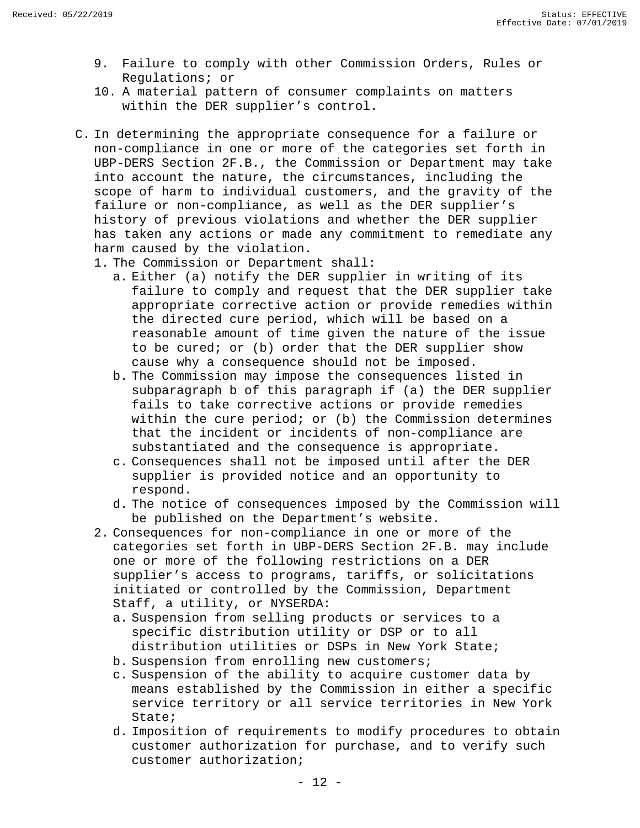- 9. Failure to comply with other Commission Orders, Rules or Regulations; or
- 10. A material pattern of consumer complaints on matters within the DER supplier's control.
- C. In determining the appropriate consequence for a failure or non-compliance in one or more of the categories set forth in UBP-DERS Section 2F.B., the Commission or Department may take into account the nature, the circumstances, including the scope of harm to individual customers, and the gravity of the failure or non-compliance, as well as the DER supplier's history of previous violations and whether the DER supplier has taken any actions or made any commitment to remediate any harm caused by the violation.
	- 1. The Commission or Department shall:
		- a. Either (a) notify the DER supplier in writing of its failure to comply and request that the DER supplier take appropriate corrective action or provide remedies within the directed cure period, which will be based on a reasonable amount of time given the nature of the issue to be cured; or (b) order that the DER supplier show cause why a consequence should not be imposed.
		- b. The Commission may impose the consequences listed in subparagraph b of this paragraph if (a) the DER supplier fails to take corrective actions or provide remedies within the cure period; or (b) the Commission determines that the incident or incidents of non-compliance are substantiated and the consequence is appropriate.
		- c. Consequences shall not be imposed until after the DER supplier is provided notice and an opportunity to respond.
		- d. The notice of consequences imposed by the Commission will be published on the Department's website.
	- 2. Consequences for non-compliance in one or more of the categories set forth in UBP-DERS Section 2F.B. may include one or more of the following restrictions on a DER supplier's access to programs, tariffs, or solicitations initiated or controlled by the Commission, Department Staff, a utility, or NYSERDA:
		- a. Suspension from selling products or services to a specific distribution utility or DSP or to all distribution utilities or DSPs in New York State;
		- b. Suspension from enrolling new customers;
		- c. Suspension of the ability to acquire customer data by means established by the Commission in either a specific service territory or all service territories in New York State;
		- d. Imposition of requirements to modify procedures to obtain customer authorization for purchase, and to verify such customer authorization;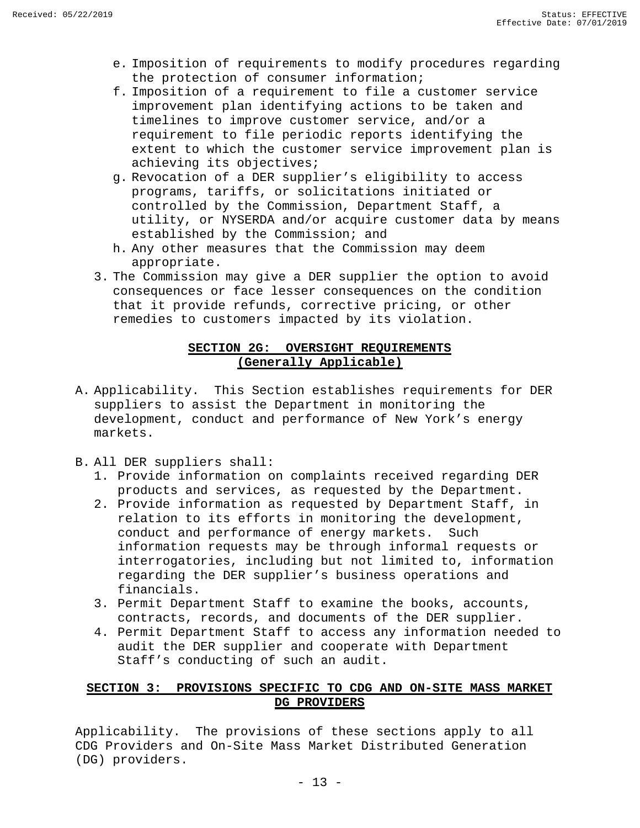- e. Imposition of requirements to modify procedures regarding the protection of consumer information;
- f. Imposition of a requirement to file a customer service improvement plan identifying actions to be taken and timelines to improve customer service, and/or a requirement to file periodic reports identifying the extent to which the customer service improvement plan is achieving its objectives;
- g. Revocation of a DER supplier's eligibility to access programs, tariffs, or solicitations initiated or controlled by the Commission, Department Staff, a utility, or NYSERDA and/or acquire customer data by means established by the Commission; and
- h. Any other measures that the Commission may deem appropriate.
- 3. The Commission may give a DER supplier the option to avoid consequences or face lesser consequences on the condition that it provide refunds, corrective pricing, or other remedies to customers impacted by its violation.

#### **SECTION 2G: OVERSIGHT REQUIREMENTS (Generally Applicable)**

- <span id="page-14-0"></span>A. Applicability. This Section establishes requirements for DER suppliers to assist the Department in monitoring the development, conduct and performance of New York's energy markets.
- B. All DER suppliers shall:
	- 1. Provide information on complaints received regarding DER products and services, as requested by the Department.
	- 2. Provide information as requested by Department Staff, in relation to its efforts in monitoring the development, conduct and performance of energy markets. Such information requests may be through informal requests or interrogatories, including but not limited to, information regarding the DER supplier's business operations and financials.
	- 3. Permit Department Staff to examine the books, accounts, contracts, records, and documents of the DER supplier.
	- 4. Permit Department Staff to access any information needed to audit the DER supplier and cooperate with Department Staff's conducting of such an audit.

#### <span id="page-14-1"></span>**SECTION 3: PROVISIONS SPECIFIC TO CDG AND ON-SITE MASS MARKET DG PROVIDERS**

Applicability. The provisions of these sections apply to all CDG Providers and On-Site Mass Market Distributed Generation (DG) providers.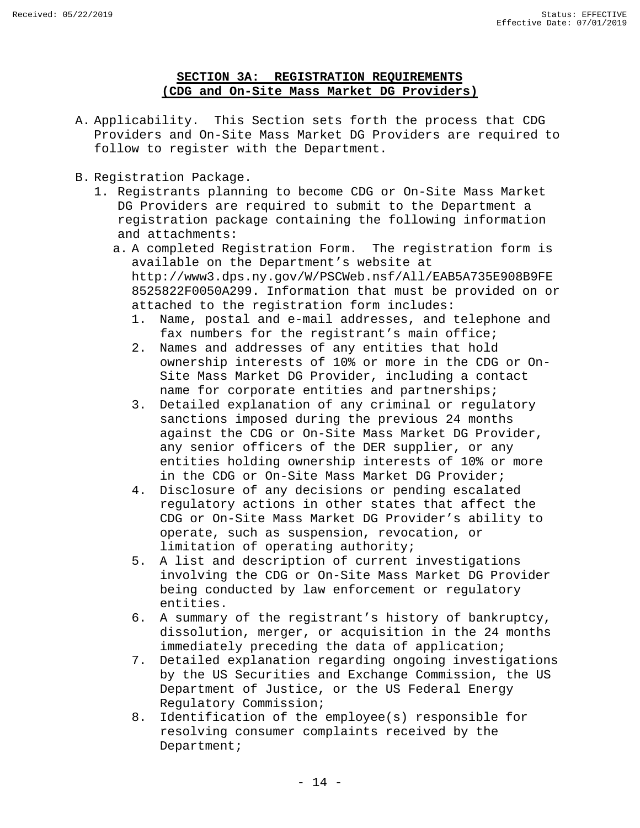#### **SECTION 3A: REGISTRATION REQUIREMENTS (CDG and On-Site Mass Market DG Providers)**

- <span id="page-15-0"></span>A. Applicability. This Section sets forth the process that CDG Providers and On-Site Mass Market DG Providers are required to follow to register with the Department.
- B. Registration Package.
	- 1. Registrants planning to become CDG or On-Site Mass Market DG Providers are required to submit to the Department a registration package containing the following information and attachments:
		- a. A completed Registration Form. The registration form is available on the Department's website at http://www3.dps.ny.gov/W/PSCWeb.nsf/All/EAB5A735E908B9FE 8525822F0050A299. Information that must be provided on or attached to the registration form includes:
			- 1. Name, postal and e-mail addresses, and telephone and fax numbers for the registrant's main office;
			- 2. Names and addresses of any entities that hold ownership interests of 10% or more in the CDG or On-Site Mass Market DG Provider, including a contact name for corporate entities and partnerships;
			- 3. Detailed explanation of any criminal or regulatory sanctions imposed during the previous 24 months against the CDG or On-Site Mass Market DG Provider, any senior officers of the DER supplier, or any entities holding ownership interests of 10% or more in the CDG or On-Site Mass Market DG Provider;
			- 4. Disclosure of any decisions or pending escalated regulatory actions in other states that affect the CDG or On-Site Mass Market DG Provider's ability to operate, such as suspension, revocation, or limitation of operating authority;
			- 5. A list and description of current investigations involving the CDG or On-Site Mass Market DG Provider being conducted by law enforcement or regulatory entities.
			- 6. A summary of the registrant's history of bankruptcy, dissolution, merger, or acquisition in the 24 months immediately preceding the data of application;
			- 7. Detailed explanation regarding ongoing investigations by the US Securities and Exchange Commission, the US Department of Justice, or the US Federal Energy Regulatory Commission;
			- 8. Identification of the employee(s) responsible for resolving consumer complaints received by the Department;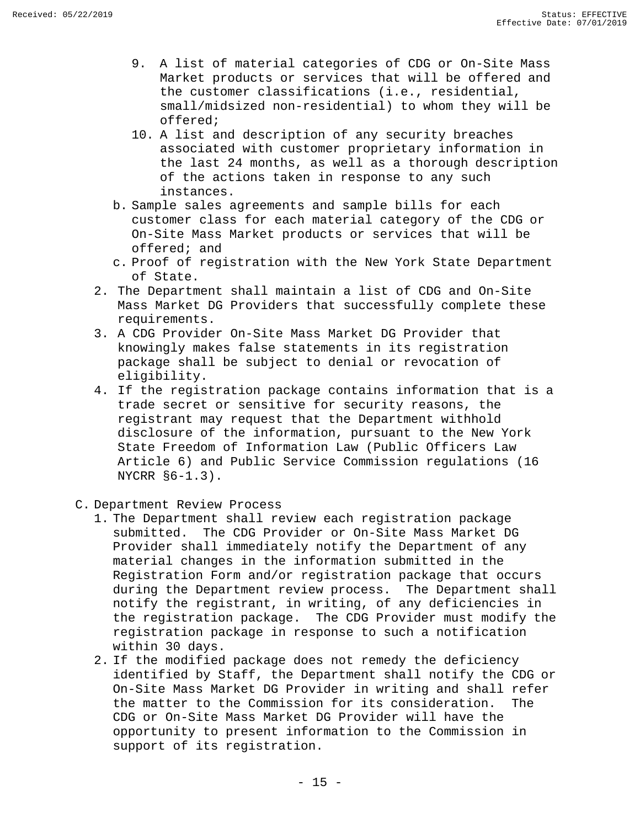- 9. A list of material categories of CDG or On-Site Mass Market products or services that will be offered and the customer classifications (i.e., residential, small/midsized non-residential) to whom they will be offered;
- 10. A list and description of any security breaches associated with customer proprietary information in the last 24 months, as well as a thorough description of the actions taken in response to any such instances.
- b. Sample sales agreements and sample bills for each customer class for each material category of the CDG or On-Site Mass Market products or services that will be offered; and
- c. Proof of registration with the New York State Department of State.
- 2. The Department shall maintain a list of CDG and On-Site Mass Market DG Providers that successfully complete these requirements.
- 3. A CDG Provider On-Site Mass Market DG Provider that knowingly makes false statements in its registration package shall be subject to denial or revocation of eligibility.
- 4. If the registration package contains information that is a trade secret or sensitive for security reasons, the registrant may request that the Department withhold disclosure of the information, pursuant to the New York State Freedom of Information Law (Public Officers Law Article 6) and Public Service Commission regulations (16 NYCRR §6-1.3).
- C. Department Review Process
	- 1. The Department shall review each registration package submitted. The CDG Provider or On-Site Mass Market DG Provider shall immediately notify the Department of any material changes in the information submitted in the Registration Form and/or registration package that occurs during the Department review process. The Department shall notify the registrant, in writing, of any deficiencies in the registration package. The CDG Provider must modify the registration package in response to such a notification within 30 days.
	- 2. If the modified package does not remedy the deficiency identified by Staff, the Department shall notify the CDG or On-Site Mass Market DG Provider in writing and shall refer<br>the matter to the Commission for its consideration. The the matter to the Commission for its consideration. CDG or On-Site Mass Market DG Provider will have the opportunity to present information to the Commission in support of its registration.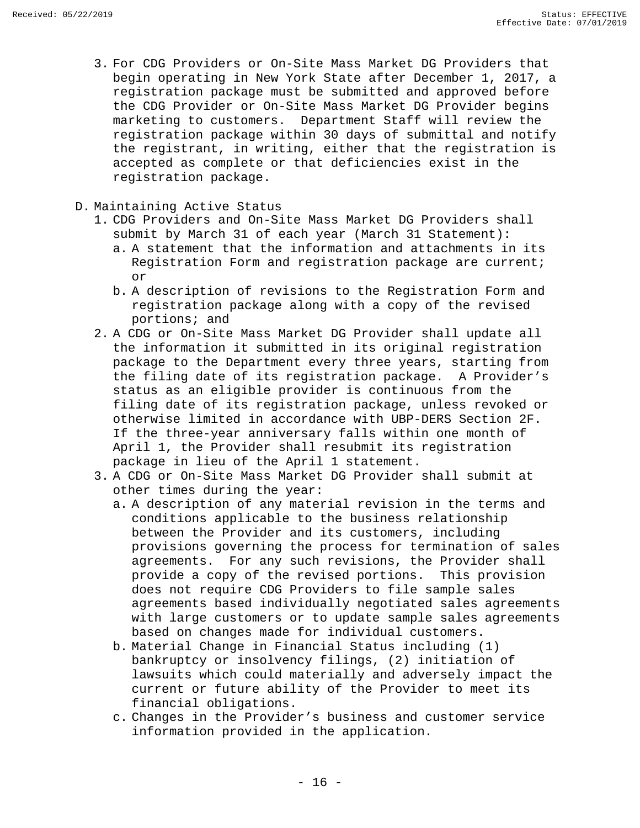- 3. For CDG Providers or On-Site Mass Market DG Providers that begin operating in New York State after December 1, 2017, a registration package must be submitted and approved before the CDG Provider or On-Site Mass Market DG Provider begins marketing to customers. Department Staff will review the registration package within 30 days of submittal and notify the registrant, in writing, either that the registration is accepted as complete or that deficiencies exist in the registration package.
- D. Maintaining Active Status
	- 1. CDG Providers and On-Site Mass Market DG Providers shall submit by March 31 of each year (March 31 Statement):
		- a. A statement that the information and attachments in its Registration Form and registration package are current; or
		- b. A description of revisions to the Registration Form and registration package along with a copy of the revised portions; and
	- 2. A CDG or On-Site Mass Market DG Provider shall update all the information it submitted in its original registration package to the Department every three years, starting from the filing date of its registration package. A Provider's status as an eligible provider is continuous from the filing date of its registration package, unless revoked or otherwise limited in accordance with UBP-DERS Section 2F. If the three-year anniversary falls within one month of April 1, the Provider shall resubmit its registration package in lieu of the April 1 statement.
	- 3. A CDG or On-Site Mass Market DG Provider shall submit at other times during the year:
		- a. A description of any material revision in the terms and conditions applicable to the business relationship between the Provider and its customers, including provisions governing the process for termination of sales agreements. For any such revisions, the Provider shall provide a copy of the revised portions. This provision does not require CDG Providers to file sample sales agreements based individually negotiated sales agreements with large customers or to update sample sales agreements based on changes made for individual customers.
		- b. Material Change in Financial Status including (1) bankruptcy or insolvency filings, (2) initiation of lawsuits which could materially and adversely impact the current or future ability of the Provider to meet its financial obligations.
		- c. Changes in the Provider's business and customer service information provided in the application.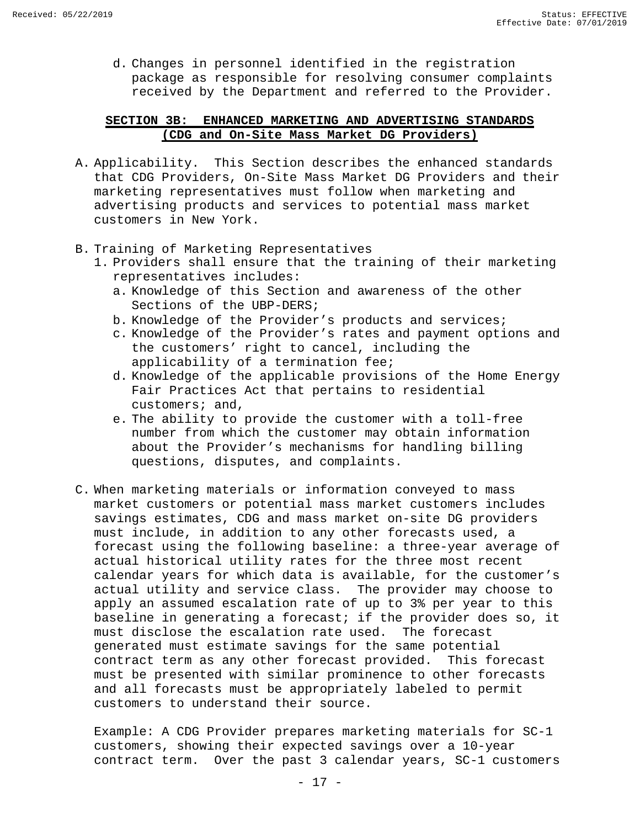d. Changes in personnel identified in the registration package as responsible for resolving consumer complaints received by the Department and referred to the Provider.

#### <span id="page-18-0"></span>**SECTION 3B: ENHANCED MARKETING AND ADVERTISING STANDARDS (CDG and On-Site Mass Market DG Providers)**

- A. Applicability. This Section describes the enhanced standards that CDG Providers, On-Site Mass Market DG Providers and their marketing representatives must follow when marketing and advertising products and services to potential mass market customers in New York.
- B. Training of Marketing Representatives
	- 1. Providers shall ensure that the training of their marketing representatives includes:
		- a. Knowledge of this Section and awareness of the other Sections of the UBP-DERS;
		- b. Knowledge of the Provider's products and services;
		- c. Knowledge of the Provider's rates and payment options and the customers' right to cancel, including the applicability of a termination fee;
		- d. Knowledge of the applicable provisions of the Home Energy Fair Practices Act that pertains to residential customers; and,
		- e. The ability to provide the customer with a toll-free number from which the customer may obtain information about the Provider's mechanisms for handling billing questions, disputes, and complaints.
- C. When marketing materials or information conveyed to mass market customers or potential mass market customers includes savings estimates, CDG and mass market on-site DG providers must include, in addition to any other forecasts used, a forecast using the following baseline: a three-year average of actual historical utility rates for the three most recent calendar years for which data is available, for the customer's actual utility and service class. The provider may choose to apply an assumed escalation rate of up to 3% per year to this baseline in generating a forecast; if the provider does so, it must disclose the escalation rate used. The forecast generated must estimate savings for the same potential contract term as any other forecast provided. This forecast must be presented with similar prominence to other forecasts and all forecasts must be appropriately labeled to permit customers to understand their source.

Example: A CDG Provider prepares marketing materials for SC-1 customers, showing their expected savings over a 10-year contract term. Over the past 3 calendar years, SC-1 customers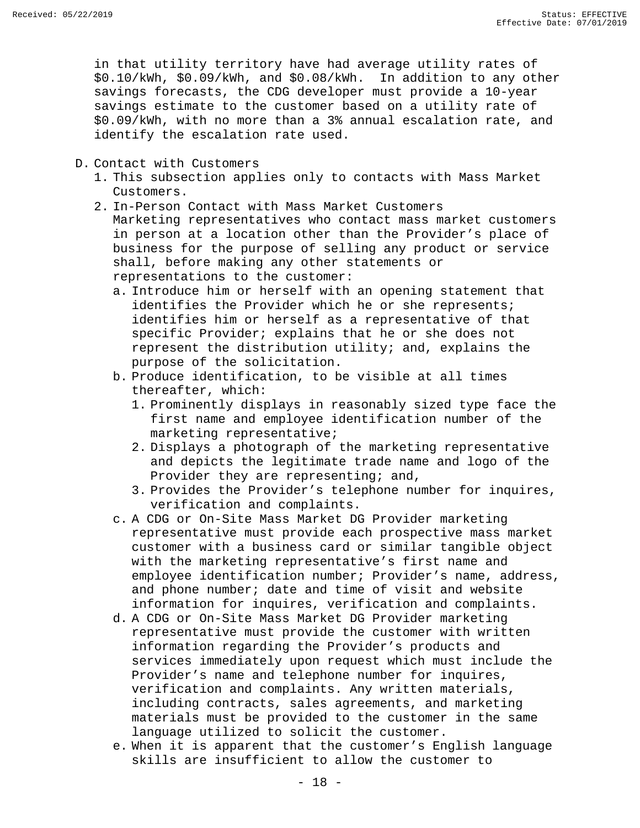in that utility territory have had average utility rates of \$0.10/kWh, \$0.09/kWh, and \$0.08/kWh. In addition to any other savings forecasts, the CDG developer must provide a 10-year savings estimate to the customer based on a utility rate of \$0.09/kWh, with no more than a 3% annual escalation rate, and identify the escalation rate used.

- D. Contact with Customers
	- 1. This subsection applies only to contacts with Mass Market Customers.
	- 2. In-Person Contact with Mass Market Customers Marketing representatives who contact mass market customers in person at a location other than the Provider's place of business for the purpose of selling any product or service shall, before making any other statements or representations to the customer:
		- a. Introduce him or herself with an opening statement that identifies the Provider which he or she represents; identifies him or herself as a representative of that specific Provider; explains that he or she does not represent the distribution utility; and, explains the purpose of the solicitation.
		- b. Produce identification, to be visible at all times thereafter, which:
			- 1. Prominently displays in reasonably sized type face the first name and employee identification number of the marketing representative;
			- 2. Displays a photograph of the marketing representative and depicts the legitimate trade name and logo of the Provider they are representing; and,
			- 3. Provides the Provider's telephone number for inquires, verification and complaints.
		- c. A CDG or On-Site Mass Market DG Provider marketing representative must provide each prospective mass market customer with a business card or similar tangible object with the marketing representative's first name and employee identification number; Provider's name, address, and phone number; date and time of visit and website information for inquires, verification and complaints.
		- d. A CDG or On-Site Mass Market DG Provider marketing representative must provide the customer with written information regarding the Provider's products and services immediately upon request which must include the Provider's name and telephone number for inquires, verification and complaints. Any written materials, including contracts, sales agreements, and marketing materials must be provided to the customer in the same language utilized to solicit the customer.
		- e. When it is apparent that the customer's English language skills are insufficient to allow the customer to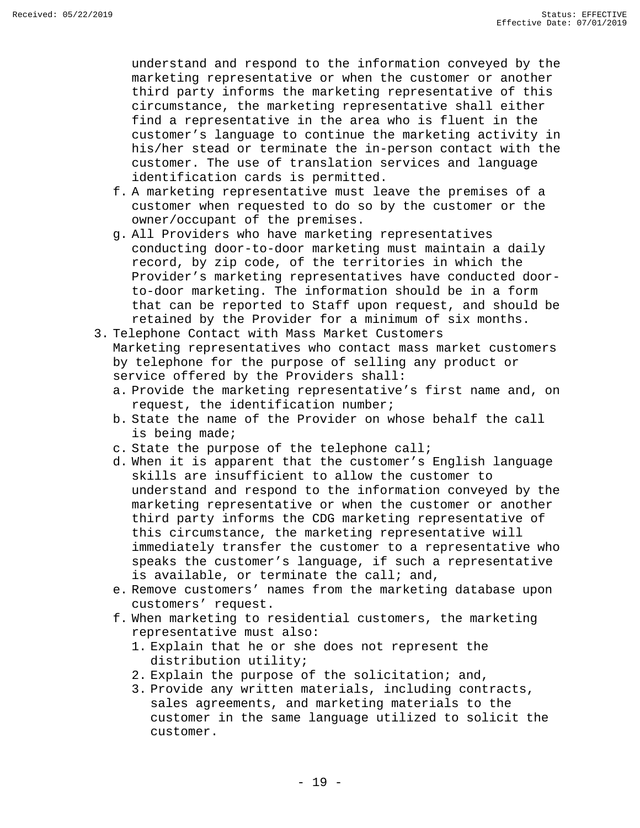understand and respond to the information conveyed by the marketing representative or when the customer or another third party informs the marketing representative of this circumstance, the marketing representative shall either find a representative in the area who is fluent in the customer's language to continue the marketing activity in his/her stead or terminate the in-person contact with the customer. The use of translation services and language identification cards is permitted.

- f. A marketing representative must leave the premises of a customer when requested to do so by the customer or the owner/occupant of the premises.
- g. All Providers who have marketing representatives conducting door-to-door marketing must maintain a daily record, by zip code, of the territories in which the Provider's marketing representatives have conducted doorto-door marketing. The information should be in a form that can be reported to Staff upon request, and should be retained by the Provider for a minimum of six months.
- 3. Telephone Contact with Mass Market Customers Marketing representatives who contact mass market customers by telephone for the purpose of selling any product or service offered by the Providers shall:
	- a. Provide the marketing representative's first name and, on request, the identification number;
	- b. State the name of the Provider on whose behalf the call is being made;
	- c. State the purpose of the telephone call;
	- d. When it is apparent that the customer's English language skills are insufficient to allow the customer to understand and respond to the information conveyed by the marketing representative or when the customer or another third party informs the CDG marketing representative of this circumstance, the marketing representative will immediately transfer the customer to a representative who speaks the customer's language, if such a representative is available, or terminate the call; and,
	- e. Remove customers' names from the marketing database upon customers' request.
	- f. When marketing to residential customers, the marketing representative must also:
		- 1. Explain that he or she does not represent the distribution utility;
		- 2. Explain the purpose of the solicitation; and,
		- 3. Provide any written materials, including contracts, sales agreements, and marketing materials to the customer in the same language utilized to solicit the customer.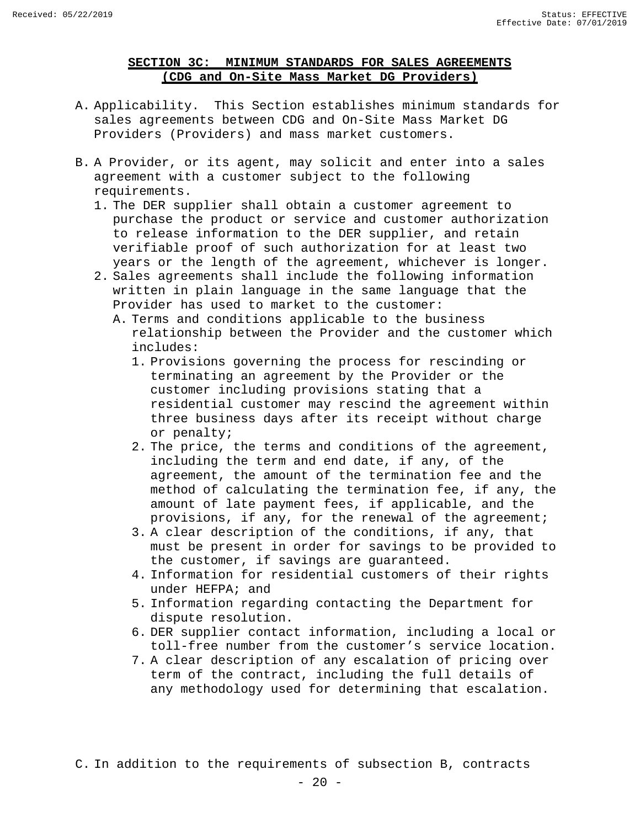#### **SECTION 3C: MINIMUM STANDARDS FOR SALES AGREEMENTS (CDG and On-Site Mass Market DG Providers)**

- <span id="page-21-0"></span>A. Applicability. This Section establishes minimum standards for sales agreements between CDG and On-Site Mass Market DG Providers (Providers) and mass market customers.
- B. A Provider, or its agent, may solicit and enter into a sales agreement with a customer subject to the following requirements.
	- 1. The DER supplier shall obtain a customer agreement to purchase the product or service and customer authorization to release information to the DER supplier, and retain verifiable proof of such authorization for at least two years or the length of the agreement, whichever is longer.
	- 2. Sales agreements shall include the following information written in plain language in the same language that the Provider has used to market to the customer:
		- A. Terms and conditions applicable to the business relationship between the Provider and the customer which includes:
			- 1. Provisions governing the process for rescinding or terminating an agreement by the Provider or the customer including provisions stating that a residential customer may rescind the agreement within three business days after its receipt without charge or penalty;
			- 2. The price, the terms and conditions of the agreement, including the term and end date, if any, of the agreement, the amount of the termination fee and the method of calculating the termination fee, if any, the amount of late payment fees, if applicable, and the provisions, if any, for the renewal of the agreement;
			- 3. A clear description of the conditions, if any, that must be present in order for savings to be provided to the customer, if savings are guaranteed.
			- 4. Information for residential customers of their rights under HEFPA; and
			- 5. Information regarding contacting the Department for dispute resolution.
			- 6. DER supplier contact information, including a local or toll-free number from the customer's service location.
			- 7. A clear description of any escalation of pricing over term of the contract, including the full details of any methodology used for determining that escalation.

C. In addition to the requirements of subsection B, contracts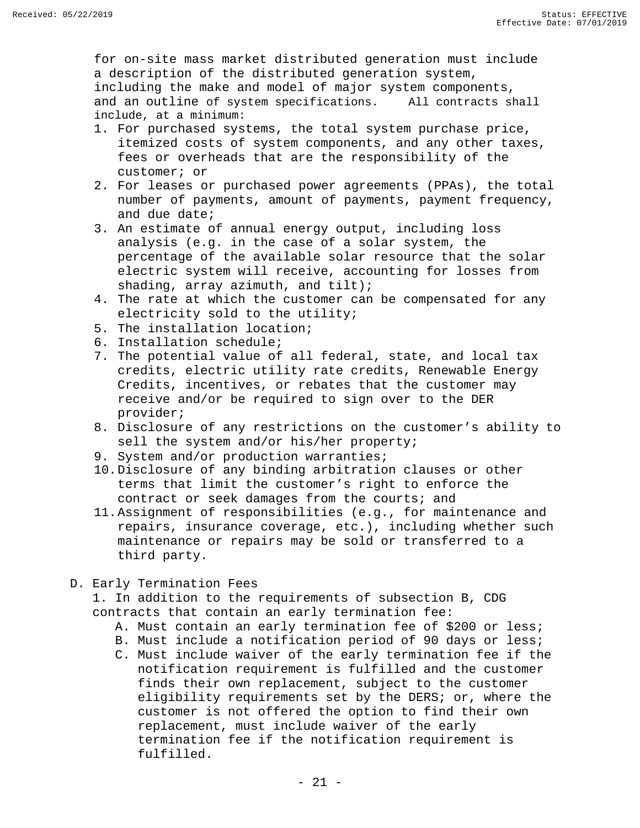for on-site mass market distributed generation must include a description of the distributed generation system, including the make and model of major system components,<br>and an outline of system specifications. All contracts shall and an outline of system specifications. include, at a minimum:

- 1. For purchased systems, the total system purchase price, itemized costs of system components, and any other taxes, fees or overheads that are the responsibility of the customer; or
- 2. For leases or purchased power agreements (PPAs), the total number of payments, amount of payments, payment frequency, and due date;
- 3. An estimate of annual energy output, including loss analysis (e.g. in the case of a solar system, the percentage of the available solar resource that the solar electric system will receive, accounting for losses from shading, array azimuth, and tilt);
- 4. The rate at which the customer can be compensated for any electricity sold to the utility;
- 5. The installation location;
- 6. Installation schedule;
- 7. The potential value of all federal, state, and local tax credits, electric utility rate credits, Renewable Energy Credits, incentives, or rebates that the customer may receive and/or be required to sign over to the DER provider;
- 8. Disclosure of any restrictions on the customer's ability to sell the system and/or his/her property;
- 9. System and/or production warranties;
- 10.Disclosure of any binding arbitration clauses or other terms that limit the customer's right to enforce the contract or seek damages from the courts; and
- 11.Assignment of responsibilities (e.g., for maintenance and repairs, insurance coverage, etc.), including whether such maintenance or repairs may be sold or transferred to a third party.
- D. Early Termination Fees

 1. In addition to the requirements of subsection B, CDG contracts that contain an early termination fee:

- A. Must contain an early termination fee of \$200 or less;
- B. Must include a notification period of 90 days or less;
- C. Must include waiver of the early termination fee if the notification requirement is fulfilled and the customer finds their own replacement, subject to the customer eligibility requirements set by the DERS; or, where the customer is not offered the option to find their own replacement, must include waiver of the early termination fee if the notification requirement is fulfilled.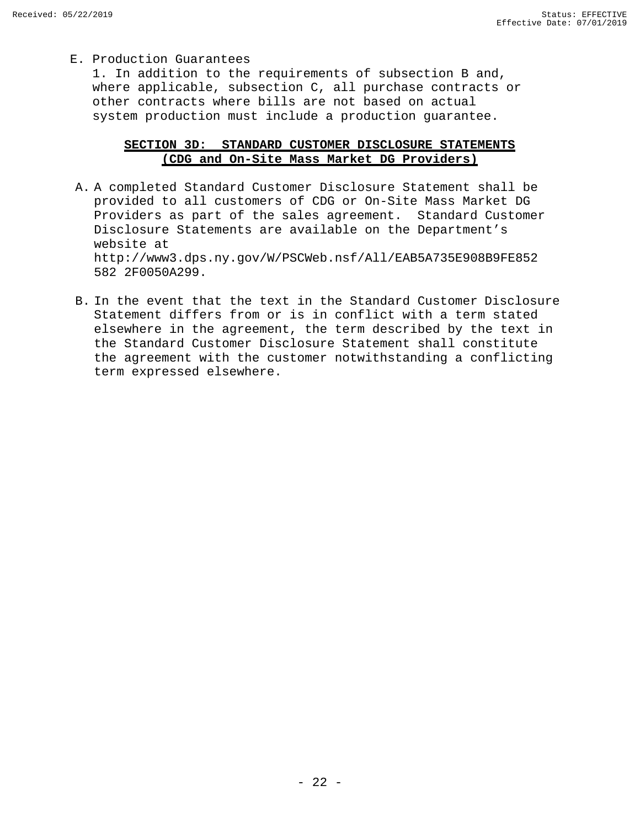E. Production Guarantees

 1. In addition to the requirements of subsection B and, where applicable, subsection C, all purchase contracts or other contracts where bills are not based on actual system production must include a production guarantee.

#### **SECTION 3D: STANDARD CUSTOMER DISCLOSURE STATEMENTS (CDG and On-Site Mass Market DG Providers)**

- <span id="page-23-0"></span>A. A completed Standard Customer Disclosure Statement shall be provided to all customers of CDG or On-Site Mass Market DG Providers as part of the sales agreement. Standard Customer Disclosure Statements are available on the Department's website at http://www3.dps.ny.gov/W/PSCWeb.nsf/All/EAB5A735E908B9FE852 582 2F0050A299.
- B. In the event that the text in the Standard Customer Disclosure Statement differs from or is in conflict with a term stated elsewhere in the agreement, the term described by the text in the Standard Customer Disclosure Statement shall constitute the agreement with the customer notwithstanding a conflicting term expressed elsewhere.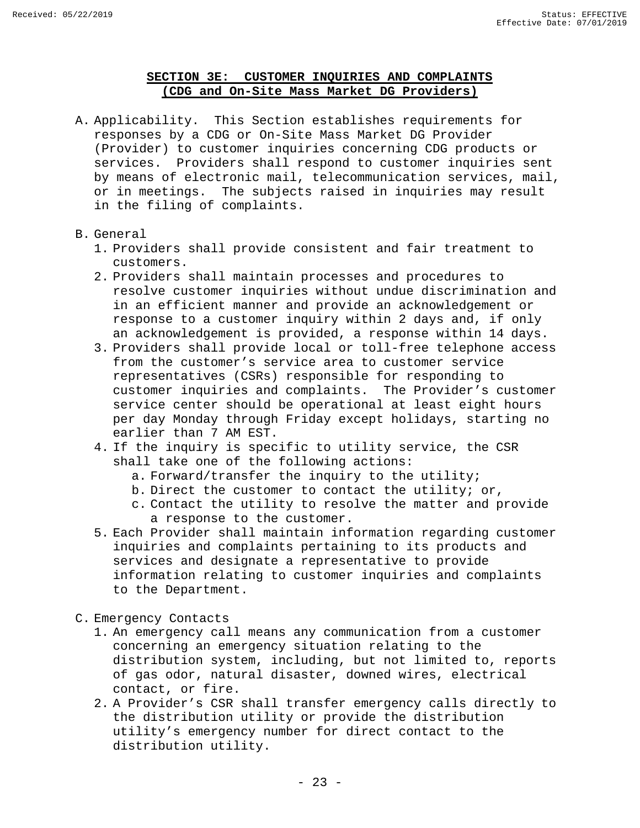#### **SECTION 3E: CUSTOMER INQUIRIES AND COMPLAINTS (CDG and On-Site Mass Market DG Providers)**

<span id="page-24-0"></span>A. Applicability. This Section establishes requirements for responses by a CDG or On-Site Mass Market DG Provider (Provider) to customer inquiries concerning CDG products or services. Providers shall respond to customer inquiries sent by means of electronic mail, telecommunication services, mail, or in meetings. The subjects raised in inquiries may result in the filing of complaints.

#### B. General

- 1. Providers shall provide consistent and fair treatment to customers.
- 2. Providers shall maintain processes and procedures to resolve customer inquiries without undue discrimination and in an efficient manner and provide an acknowledgement or response to a customer inquiry within 2 days and, if only an acknowledgement is provided, a response within 14 days.
- 3. Providers shall provide local or toll-free telephone access from the customer's service area to customer service representatives (CSRs) responsible for responding to customer inquiries and complaints. The Provider's customer service center should be operational at least eight hours per day Monday through Friday except holidays, starting no earlier than 7 AM EST.
- 4. If the inquiry is specific to utility service, the CSR shall take one of the following actions:
	- a. Forward/transfer the inquiry to the utility;
	- b. Direct the customer to contact the utility; or,
	- c. Contact the utility to resolve the matter and provide a response to the customer.
- 5. Each Provider shall maintain information regarding customer inquiries and complaints pertaining to its products and services and designate a representative to provide information relating to customer inquiries and complaints to the Department.
- C. Emergency Contacts
	- 1. An emergency call means any communication from a customer concerning an emergency situation relating to the distribution system, including, but not limited to, reports of gas odor, natural disaster, downed wires, electrical contact, or fire.
	- 2. A Provider's CSR shall transfer emergency calls directly to the distribution utility or provide the distribution utility's emergency number for direct contact to the distribution utility.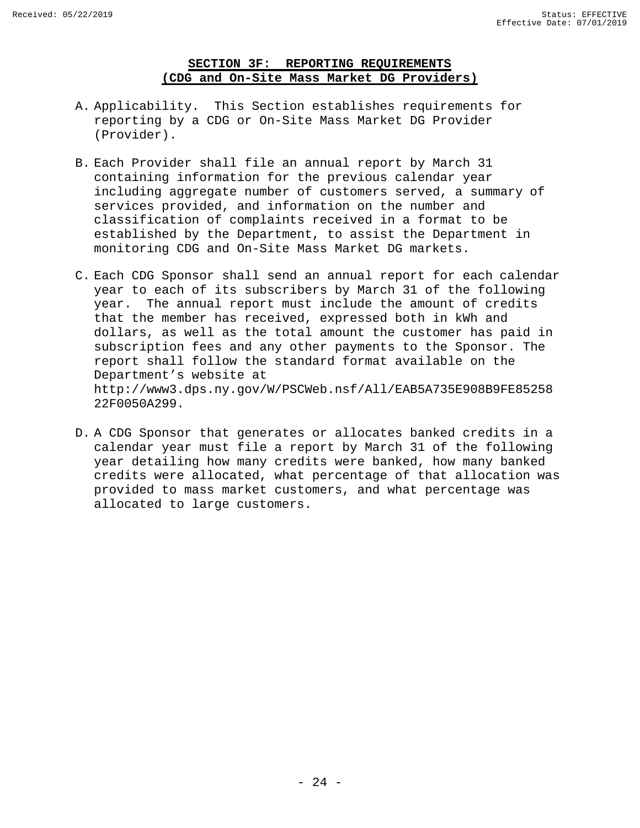#### **SECTION 3F: REPORTING REQUIREMENTS (CDG and On-Site Mass Market DG Providers)**

- <span id="page-25-0"></span>A. Applicability. This Section establishes requirements for reporting by a CDG or On-Site Mass Market DG Provider (Provider).
- B. Each Provider shall file an annual report by March 31 containing information for the previous calendar year including aggregate number of customers served, a summary of services provided, and information on the number and classification of complaints received in a format to be established by the Department, to assist the Department in monitoring CDG and On-Site Mass Market DG markets.
- C. Each CDG Sponsor shall send an annual report for each calendar year to each of its subscribers by March 31 of the following year. The annual report must include the amount of credits that the member has received, expressed both in kWh and dollars, as well as the total amount the customer has paid in subscription fees and any other payments to the Sponsor. The report shall follow the standard format available on the Department's website at http://www3.dps.ny.gov/W/PSCWeb.nsf/All/EAB5A735E908B9FE85258 22F0050A299.
- D. A CDG Sponsor that generates or allocates banked credits in a calendar year must file a report by March 31 of the following year detailing how many credits were banked, how many banked credits were allocated, what percentage of that allocation was provided to mass market customers, and what percentage was allocated to large customers.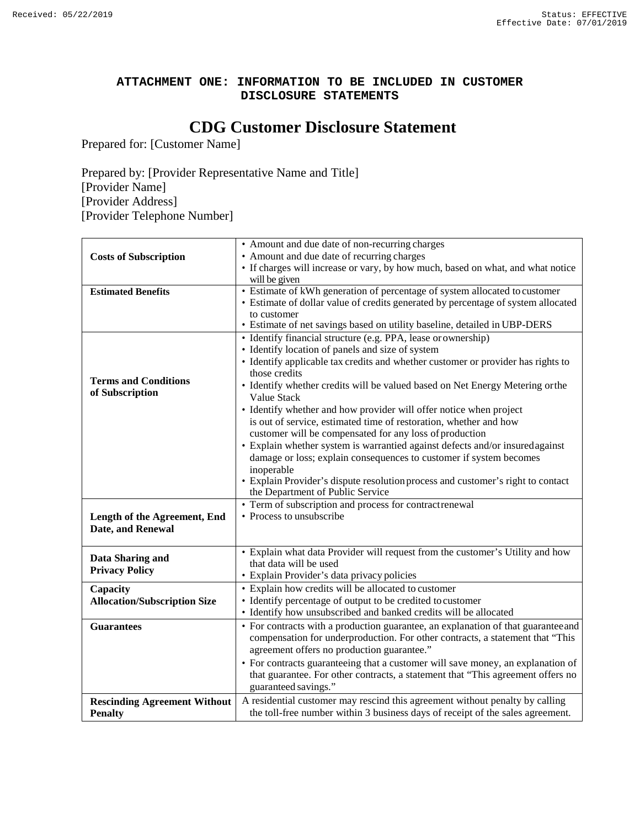#### **ATTACHMENT ONE: INFORMATION TO BE INCLUDED IN CUSTOMER DISCLOSURE STATEMENTS**

# **CDG Customer Disclosure Statement**

Prepared for: [Customer Name]

Prepared by: [Provider Representative Name and Title] [Provider Name] [Provider Address] [Provider Telephone Number]

|                                     | • Amount and due date of non-recurring charges                                    |
|-------------------------------------|-----------------------------------------------------------------------------------|
| <b>Costs of Subscription</b>        | • Amount and due date of recurring charges                                        |
|                                     | • If charges will increase or vary, by how much, based on what, and what notice   |
|                                     | will be given                                                                     |
| <b>Estimated Benefits</b>           | • Estimate of kWh generation of percentage of system allocated to customer        |
|                                     | • Estimate of dollar value of credits generated by percentage of system allocated |
|                                     | to customer                                                                       |
|                                     | • Estimate of net savings based on utility baseline, detailed in UBP-DERS         |
|                                     | • Identify financial structure (e.g. PPA, lease or ownership)                     |
|                                     | • Identify location of panels and size of system                                  |
|                                     | • Identify applicable tax credits and whether customer or provider has rights to  |
|                                     | those credits                                                                     |
| <b>Terms and Conditions</b>         | • Identify whether credits will be valued based on Net Energy Metering orthe      |
| of Subscription                     | Value Stack                                                                       |
|                                     | • Identify whether and how provider will offer notice when project                |
|                                     | is out of service, estimated time of restoration, whether and how                 |
|                                     | customer will be compensated for any loss of production                           |
|                                     | • Explain whether system is warrantied against defects and/or insured against     |
|                                     | damage or loss; explain consequences to customer if system becomes                |
|                                     | inoperable                                                                        |
|                                     | • Explain Provider's dispute resolution process and customer's right to contact   |
|                                     | the Department of Public Service                                                  |
|                                     | • Term of subscription and process for contractrenewal                            |
| Length of the Agreement, End        | • Process to unsubscribe                                                          |
| Date, and Renewal                   |                                                                                   |
|                                     |                                                                                   |
| Data Sharing and                    | • Explain what data Provider will request from the customer's Utility and how     |
| <b>Privacy Policy</b>               | that data will be used                                                            |
|                                     | · Explain Provider's data privacy policies                                        |
| Capacity                            | • Explain how credits will be allocated to customer                               |
| <b>Allocation/Subscription Size</b> | • Identify percentage of output to be credited to customer                        |
|                                     | • Identify how unsubscribed and banked credits will be allocated                  |
| <b>Guarantees</b>                   | • For contracts with a production guarantee, an explanation of that guarantee and |
|                                     | compensation for underproduction. For other contracts, a statement that "This     |
|                                     | agreement offers no production guarantee."                                        |
|                                     | • For contracts guaranteeing that a customer will save money, an explanation of   |
|                                     | that guarantee. For other contracts, a statement that "This agreement offers no   |
|                                     | guaranteed savings."                                                              |
| <b>Rescinding Agreement Without</b> | A residential customer may rescind this agreement without penalty by calling      |
| <b>Penalty</b>                      | the toll-free number within 3 business days of receipt of the sales agreement.    |
|                                     |                                                                                   |